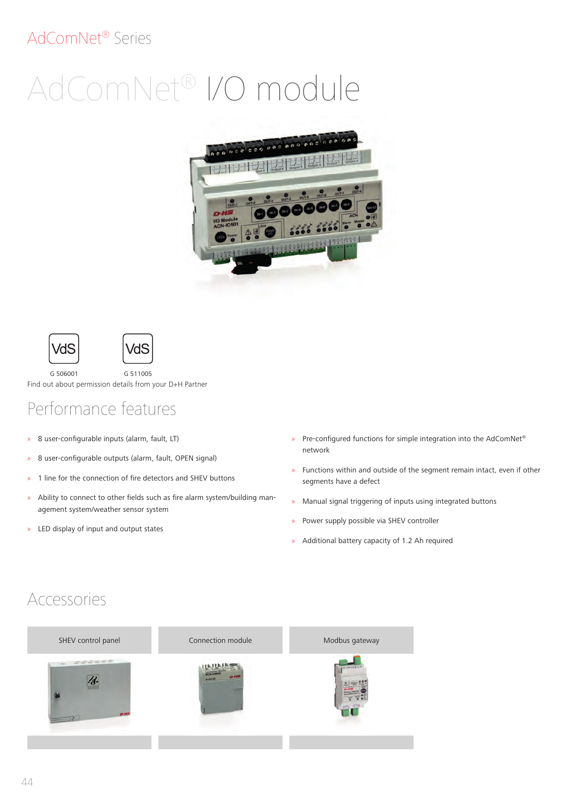#### AdComNet® Series

# AdComNet® I/O module







G 506001 G 511005 Find out about permission details from your D+H Partner

## Performance features

- » 8 user-configurable inputs (alarm, fault, LT)
- » 8 user-configurable outputs (alarm, fault, OPEN signal)
- » 1 line for the connection of fire detectors and SHEV buttons
- » Ability to connect to other fields such as fire alarm system/building management system/weather sensor system
- » LED display of input and output states
- » Pre-configured functions for simple integration into the AdComNet® network
- » Functions within and outside of the segment remain intact, even if other segments have a defect
- » Manual signal triggering of inputs using integrated buttons
- » Power supply possible via SHEV controller
- » Additional battery capacity of 1.2 Ah required

#### Accessories

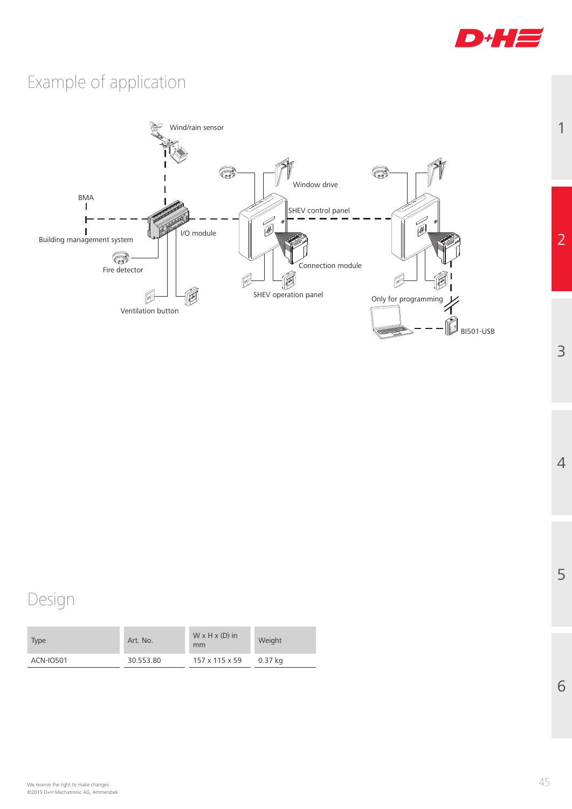

1

2

3

4

5

6

# Example of application



## Design

| Type      | Art. No.  | $W \times H \times (D)$ in<br>mm | Weight  |
|-----------|-----------|----------------------------------|---------|
| ACN-IO501 | 30.553.80 | 157 x 115 x 59                   | 0.37 ka |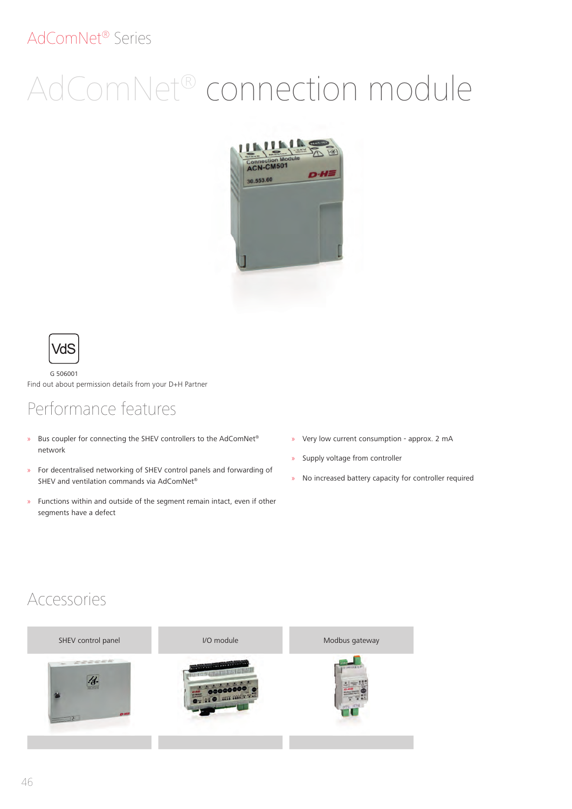#### AdComNet® Series

# AdComNet® connection module





G 506001 Find out about permission details from your D+H Partner

#### Performance features

- » Bus coupler for connecting the SHEV controllers to the AdComNet® network
- » For decentralised networking of SHEV control panels and forwarding of SHEV and ventilation commands via AdComNet®
- » Functions within and outside of the segment remain intact, even if other segments have a defect
- » Very low current consumption approx. 2 mA
- » Supply voltage from controller
- » No increased battery capacity for controller required

#### Accessories

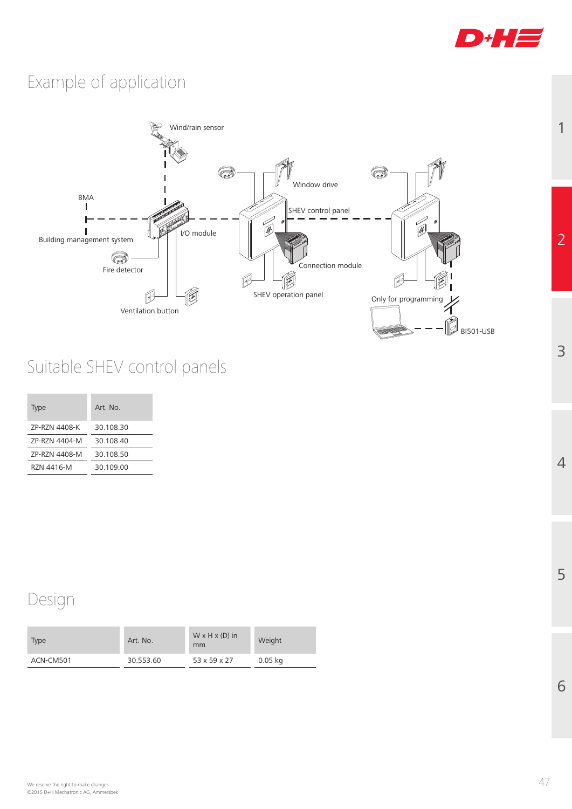

1

2

3

4

5

6

## Example of application



## Suitable SHEV control panels

| <b>Type</b>   | Art No    |
|---------------|-----------|
| 7P-R7N 4408-K | 30 108 30 |
| 7P-R7N 4404-M | 30 108 40 |
| 7P-R7N 4408-M | 30.108.50 |
| R7N 4416-M    | 30 109 00 |

#### Design

| <b>Type</b> | Art. No.  | $W \times H \times (D)$ in<br>mm | Weight    |
|-------------|-----------|----------------------------------|-----------|
| ACN-CM501   | 30.553.60 | 53 x 59 x 27                     | $0.05$ kg |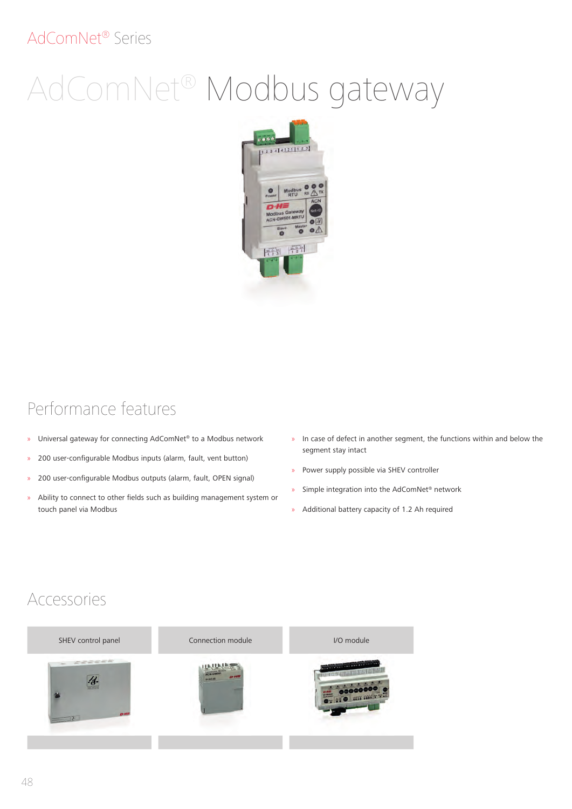#### AdComNet® Series

# AdComNet® Modbus gateway



#### Performance features

- » Universal gateway for connecting AdComNet® to a Modbus network
- » 200 user-configurable Modbus inputs (alarm, fault, vent button)
- » 200 user-configurable Modbus outputs (alarm, fault, OPEN signal)
- » Ability to connect to other fields such as building management system or touch panel via Modbus
- » In case of defect in another segment, the functions within and below the segment stay intact
- » Power supply possible via SHEV controller
- » Simple integration into the AdComNet® network
- » Additional battery capacity of 1.2 Ah required

#### Accessories